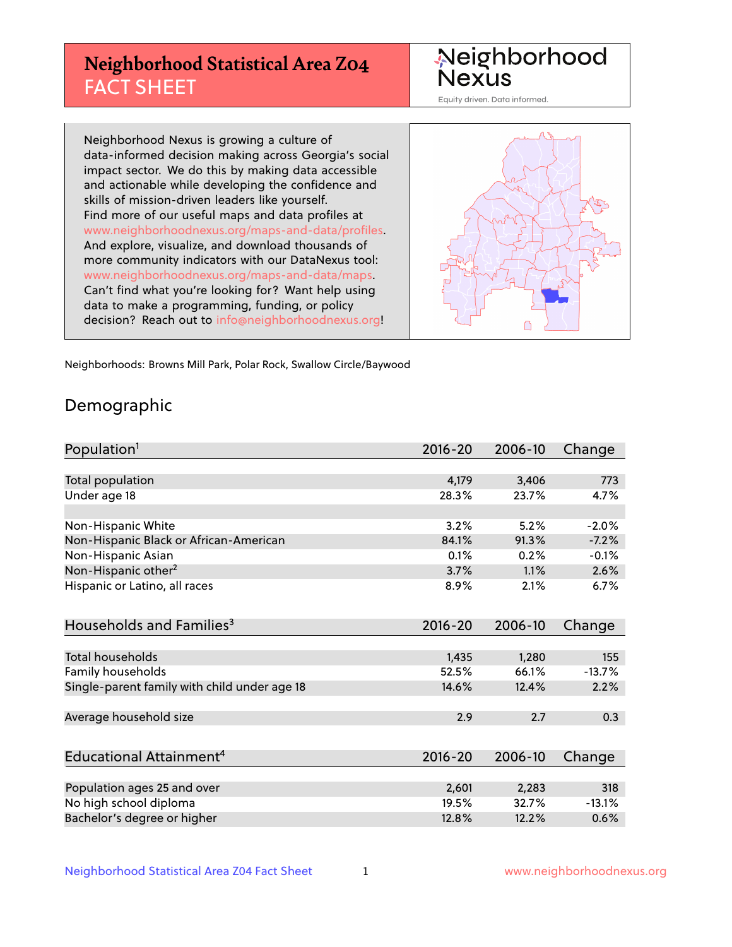# **Neighborhood Statistical Area Z04** FACT SHEET

Neighborhood Nexus

Equity driven. Data informed.

Neighborhood Nexus is growing a culture of data-informed decision making across Georgia's social impact sector. We do this by making data accessible and actionable while developing the confidence and skills of mission-driven leaders like yourself. Find more of our useful maps and data profiles at www.neighborhoodnexus.org/maps-and-data/profiles. And explore, visualize, and download thousands of more community indicators with our DataNexus tool: www.neighborhoodnexus.org/maps-and-data/maps. Can't find what you're looking for? Want help using data to make a programming, funding, or policy decision? Reach out to [info@neighborhoodnexus.org!](mailto:info@neighborhoodnexus.org)



Neighborhoods: Browns Mill Park, Polar Rock, Swallow Circle/Baywood

### Demographic

| Population <sup>1</sup>                      | $2016 - 20$ | 2006-10 | Change   |
|----------------------------------------------|-------------|---------|----------|
|                                              |             |         |          |
| <b>Total population</b>                      | 4,179       | 3,406   | 773      |
| Under age 18                                 | 28.3%       | 23.7%   | 4.7%     |
|                                              |             |         |          |
| Non-Hispanic White                           | 3.2%        | 5.2%    | $-2.0%$  |
| Non-Hispanic Black or African-American       | 84.1%       | 91.3%   | $-7.2%$  |
| Non-Hispanic Asian                           | 0.1%        | 0.2%    | $-0.1%$  |
| Non-Hispanic other <sup>2</sup>              | 3.7%        | 1.1%    | 2.6%     |
| Hispanic or Latino, all races                | 8.9%        | 2.1%    | 6.7%     |
|                                              |             |         |          |
| Households and Families <sup>3</sup>         | $2016 - 20$ | 2006-10 | Change   |
|                                              |             |         |          |
| Total households                             | 1,435       | 1,280   | 155      |
| Family households                            | 52.5%       | 66.1%   | $-13.7%$ |
| Single-parent family with child under age 18 | 14.6%       | 12.4%   | 2.2%     |
|                                              |             |         |          |
| Average household size                       | 2.9         | 2.7     | 0.3      |
|                                              |             |         |          |
| Educational Attainment <sup>4</sup>          | $2016 - 20$ | 2006-10 | Change   |
|                                              |             |         |          |
| Population ages 25 and over                  | 2,601       | 2,283   | 318      |
| No high school diploma                       | 19.5%       | 32.7%   | $-13.1%$ |
| Bachelor's degree or higher                  | 12.8%       | 12.2%   | 0.6%     |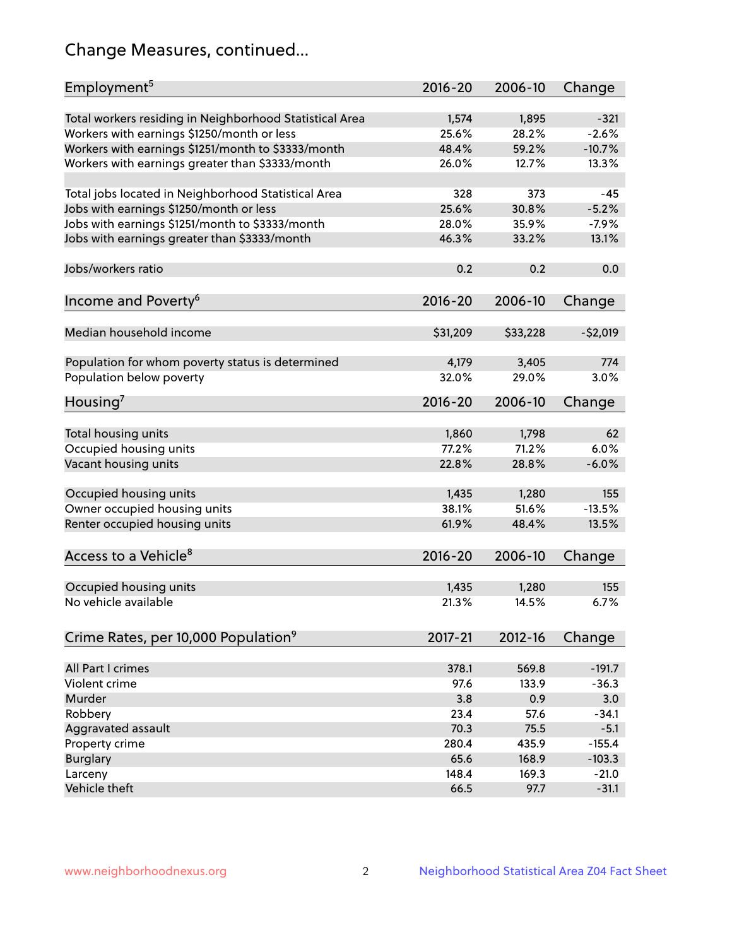# Change Measures, continued...

| Employment <sup>5</sup>                                 | $2016 - 20$    | 2006-10        | Change            |
|---------------------------------------------------------|----------------|----------------|-------------------|
|                                                         |                |                |                   |
| Total workers residing in Neighborhood Statistical Area | 1,574<br>25.6% | 1,895<br>28.2% | $-321$<br>$-2.6%$ |
| Workers with earnings \$1250/month or less              | 48.4%          | 59.2%          | $-10.7%$          |
| Workers with earnings \$1251/month to \$3333/month      | 26.0%          | 12.7%          | 13.3%             |
| Workers with earnings greater than \$3333/month         |                |                |                   |
| Total jobs located in Neighborhood Statistical Area     | 328            | 373            | $-45$             |
| Jobs with earnings \$1250/month or less                 | 25.6%          | 30.8%          | $-5.2%$           |
| Jobs with earnings \$1251/month to \$3333/month         | 28.0%          | 35.9%          | $-7.9%$           |
| Jobs with earnings greater than \$3333/month            | 46.3%          | 33.2%          | 13.1%             |
|                                                         |                |                |                   |
| Jobs/workers ratio                                      | 0.2            | 0.2            | 0.0               |
|                                                         |                |                |                   |
| Income and Poverty <sup>6</sup>                         | 2016-20        | 2006-10        | Change            |
|                                                         |                |                |                   |
| Median household income                                 | \$31,209       | \$33,228       | $-52,019$         |
| Population for whom poverty status is determined        | 4,179          | 3,405          | 774               |
| Population below poverty                                | 32.0%          | 29.0%          | 3.0%              |
|                                                         |                |                |                   |
| Housing <sup>7</sup>                                    | 2016-20        | 2006-10        | Change            |
|                                                         |                |                |                   |
| Total housing units                                     | 1,860          | 1,798          | 62                |
| Occupied housing units                                  | 77.2%          | 71.2%          | 6.0%              |
| Vacant housing units                                    | 22.8%          | 28.8%          | $-6.0%$           |
|                                                         |                |                |                   |
| Occupied housing units                                  | 1,435          | 1,280          | 155               |
| Owner occupied housing units                            | 38.1%          | 51.6%          | $-13.5%$          |
| Renter occupied housing units                           | 61.9%          | 48.4%          | 13.5%             |
| Access to a Vehicle <sup>8</sup>                        | $2016 - 20$    | 2006-10        | Change            |
|                                                         |                |                |                   |
| Occupied housing units                                  | 1,435          | 1,280          | 155               |
| No vehicle available                                    | 21.3%          | 14.5%          | 6.7%              |
|                                                         |                |                |                   |
| Crime Rates, per 10,000 Population <sup>9</sup>         | 2017-21        | 2012-16        | Change            |
|                                                         |                |                |                   |
| All Part I crimes                                       | 378.1          | 569.8          | $-191.7$          |
| Violent crime                                           | 97.6           | 133.9          | $-36.3$           |
| Murder                                                  | 3.8            | 0.9            | 3.0               |
| Robbery                                                 | 23.4           | 57.6           | $-34.1$           |
| Aggravated assault                                      | 70.3           | 75.5           | $-5.1$            |
| Property crime                                          | 280.4          | 435.9          | $-155.4$          |
| <b>Burglary</b>                                         | 65.6           | 168.9          | $-103.3$          |
| Larceny                                                 | 148.4          | 169.3          | $-21.0$           |
| Vehicle theft                                           | 66.5           | 97.7           | $-31.1$           |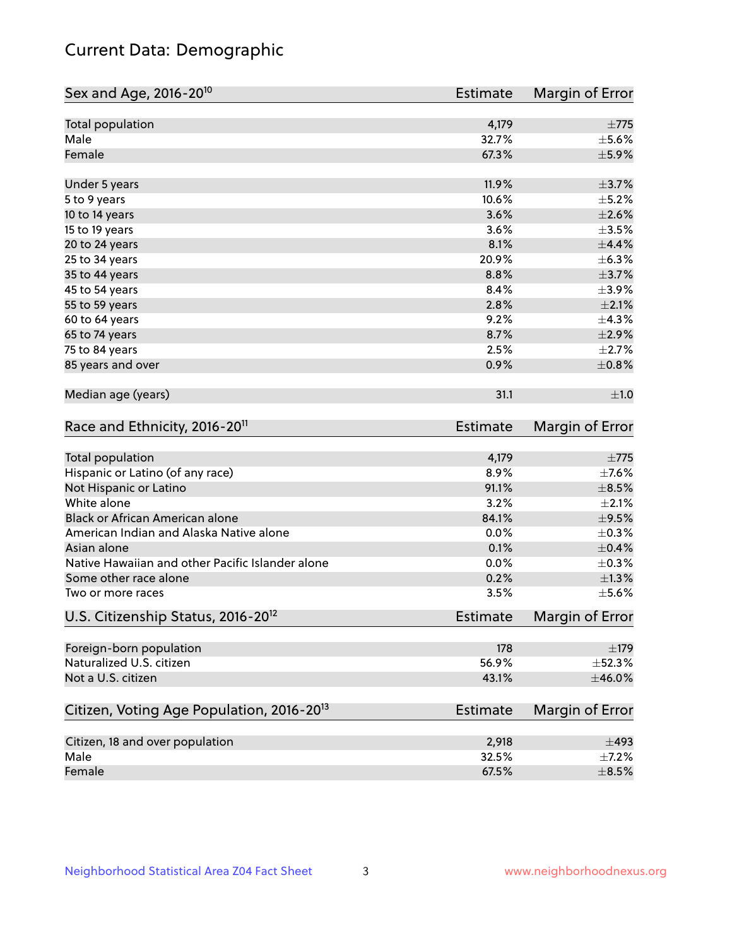# Current Data: Demographic

| Sex and Age, 2016-20 <sup>10</sup>                    | <b>Estimate</b> | Margin of Error |
|-------------------------------------------------------|-----------------|-----------------|
| Total population                                      | 4,179           | $\pm 775$       |
| Male                                                  | 32.7%           | $\pm$ 5.6%      |
| Female                                                | 67.3%           | $\pm$ 5.9%      |
| Under 5 years                                         | 11.9%           | $\pm$ 3.7%      |
| 5 to 9 years                                          | 10.6%           | $\pm$ 5.2%      |
| 10 to 14 years                                        | 3.6%            | $\pm 2.6\%$     |
| 15 to 19 years                                        | 3.6%            | $\pm$ 3.5%      |
| 20 to 24 years                                        | 8.1%            | $\pm$ 4.4%      |
| 25 to 34 years                                        | 20.9%           | ±6.3%           |
| 35 to 44 years                                        | 8.8%            | $\pm$ 3.7%      |
| 45 to 54 years                                        | 8.4%            | $\pm$ 3.9%      |
| 55 to 59 years                                        | 2.8%            | $\pm 2.1\%$     |
| 60 to 64 years                                        | 9.2%            | ±4.3%           |
| 65 to 74 years                                        | 8.7%            | $\pm 2.9\%$     |
| 75 to 84 years                                        | 2.5%            | $\pm 2.7\%$     |
| 85 years and over                                     | 0.9%            | $\pm$ 0.8%      |
| Median age (years)                                    | 31.1            | ±1.0            |
| Race and Ethnicity, 2016-20 <sup>11</sup>             | <b>Estimate</b> | Margin of Error |
| Total population                                      | 4,179           | $\pm 775$       |
| Hispanic or Latino (of any race)                      | 8.9%            | $\pm$ 7.6%      |
| Not Hispanic or Latino                                | 91.1%           | $\pm$ 8.5%      |
| White alone                                           | 3.2%            | $\pm 2.1\%$     |
| Black or African American alone                       | 84.1%           | $\pm$ 9.5%      |
| American Indian and Alaska Native alone               | 0.0%            | $\pm$ 0.3%      |
| Asian alone                                           | 0.1%            | $\pm$ 0.4%      |
| Native Hawaiian and other Pacific Islander alone      | 0.0%            | $\pm$ 0.3%      |
| Some other race alone                                 | 0.2%            | $\pm 1.3\%$     |
| Two or more races                                     | 3.5%            | $\pm$ 5.6%      |
| U.S. Citizenship Status, 2016-20 <sup>12</sup>        | <b>Estimate</b> | Margin of Error |
| Foreign-born population                               | 178             | $\pm$ 179       |
| Naturalized U.S. citizen                              | 56.9%           | ±52.3%          |
| Not a U.S. citizen                                    | 43.1%           | $\pm$ 46.0%     |
| Citizen, Voting Age Population, 2016-20 <sup>13</sup> | Estimate        | Margin of Error |
| Citizen, 18 and over population                       | 2,918           | $\pm$ 493       |
| Male                                                  | 32.5%           | $\pm$ 7.2%      |
| Female                                                | 67.5%           | $\pm$ 8.5%      |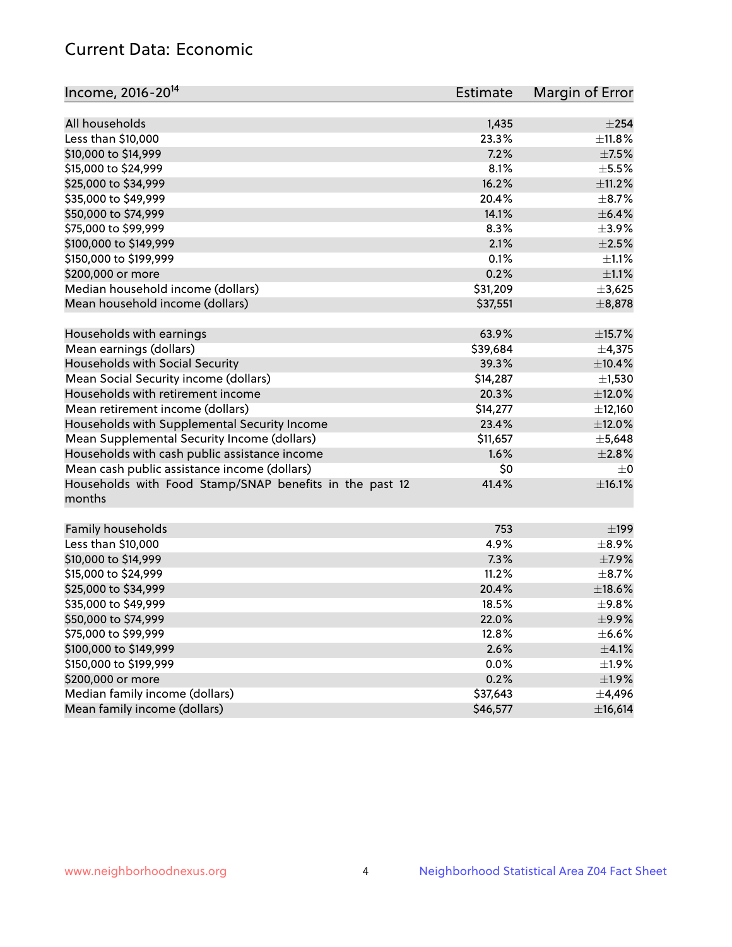# Current Data: Economic

| Income, 2016-20 <sup>14</sup>                                     | Estimate | Margin of Error |
|-------------------------------------------------------------------|----------|-----------------|
|                                                                   |          |                 |
| All households                                                    | 1,435    | $\pm 254$       |
| Less than \$10,000                                                | 23.3%    | ±11.8%          |
| \$10,000 to \$14,999                                              | 7.2%     | $\pm$ 7.5%      |
| \$15,000 to \$24,999                                              | 8.1%     | $\pm$ 5.5%      |
| \$25,000 to \$34,999                                              | 16.2%    | $\pm$ 11.2%     |
| \$35,000 to \$49,999                                              | 20.4%    | $\pm$ 8.7%      |
| \$50,000 to \$74,999                                              | 14.1%    | $\pm$ 6.4%      |
| \$75,000 to \$99,999                                              | 8.3%     | $\pm$ 3.9%      |
| \$100,000 to \$149,999                                            | 2.1%     | $\pm 2.5\%$     |
| \$150,000 to \$199,999                                            | 0.1%     | $\pm 1.1\%$     |
| \$200,000 or more                                                 | 0.2%     | $\pm 1.1\%$     |
| Median household income (dollars)                                 | \$31,209 | ±3,625          |
| Mean household income (dollars)                                   | \$37,551 | ±8,878          |
| Households with earnings                                          | 63.9%    | ±15.7%          |
| Mean earnings (dollars)                                           | \$39,684 | ±4,375          |
| Households with Social Security                                   | 39.3%    | $\pm$ 10.4%     |
| Mean Social Security income (dollars)                             | \$14,287 | ±1,530          |
| Households with retirement income                                 | 20.3%    | $\pm$ 12.0%     |
| Mean retirement income (dollars)                                  | \$14,277 | ±12,160         |
| Households with Supplemental Security Income                      | 23.4%    | $\pm$ 12.0%     |
| Mean Supplemental Security Income (dollars)                       | \$11,657 | ±5,648          |
| Households with cash public assistance income                     | 1.6%     | ±2.8%           |
| Mean cash public assistance income (dollars)                      | \$0      | $\pm 0$         |
|                                                                   | 41.4%    | ±16.1%          |
| Households with Food Stamp/SNAP benefits in the past 12<br>months |          |                 |
| Family households                                                 | 753      | $\pm$ 199       |
| Less than \$10,000                                                | 4.9%     | $\pm$ 8.9%      |
| \$10,000 to \$14,999                                              | 7.3%     | $\pm$ 7.9%      |
| \$15,000 to \$24,999                                              | 11.2%    | $\pm$ 8.7%      |
|                                                                   |          |                 |
| \$25,000 to \$34,999                                              | 20.4%    | $\pm$ 18.6%     |
| \$35,000 to \$49,999                                              | 18.5%    | ±9.8%           |
| \$50,000 to \$74,999                                              | 22.0%    | $\pm$ 9.9%      |
| \$75,000 to \$99,999                                              | 12.8%    | $\pm$ 6.6%      |
| \$100,000 to \$149,999                                            | 2.6%     | $\pm$ 4.1%      |
| \$150,000 to \$199,999                                            | 0.0%     | ±1.9%           |
| \$200,000 or more                                                 | 0.2%     | ±1.9%           |
| Median family income (dollars)                                    | \$37,643 | $\pm$ 4,496     |
| Mean family income (dollars)                                      | \$46,577 | ±16,614         |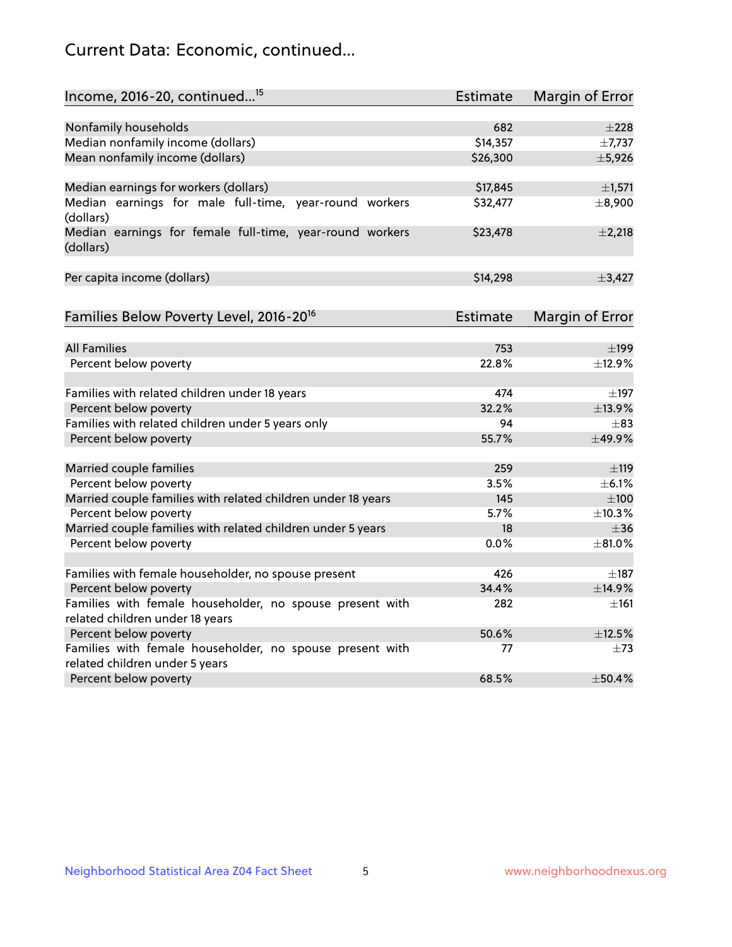# Current Data: Economic, continued...

| Income, 2016-20, continued <sup>15</sup>                                                    | <b>Estimate</b> | <b>Margin of Error</b> |
|---------------------------------------------------------------------------------------------|-----------------|------------------------|
|                                                                                             |                 |                        |
| Nonfamily households                                                                        | 682             | ±228                   |
| Median nonfamily income (dollars)                                                           | \$14,357        | ±7,737                 |
| Mean nonfamily income (dollars)                                                             | \$26,300        | ±5,926                 |
| Median earnings for workers (dollars)                                                       | \$17,845        | ±1,571                 |
| Median earnings for male full-time, year-round workers<br>(dollars)                         | \$32,477        | ±8,900                 |
| Median earnings for female full-time, year-round workers<br>(dollars)                       | \$23,478        | $\pm 2,218$            |
| Per capita income (dollars)                                                                 | \$14,298        | ±3,427                 |
| Families Below Poverty Level, 2016-20 <sup>16</sup>                                         | Estimate        | <b>Margin of Error</b> |
|                                                                                             |                 |                        |
| <b>All Families</b>                                                                         | 753             | $\pm$ 199              |
| Percent below poverty                                                                       | 22.8%           | ±12.9%                 |
| Families with related children under 18 years                                               | 474             | $\pm$ 197              |
| Percent below poverty                                                                       | 32.2%           | ±13.9%                 |
| Families with related children under 5 years only                                           | 94              | $\pm$ 83               |
| Percent below poverty                                                                       | 55.7%           | ±49.9%                 |
| Married couple families                                                                     | 259             | ±119                   |
| Percent below poverty                                                                       | 3.5%            | $\pm$ 6.1%             |
| Married couple families with related children under 18 years                                | 145             | $\pm 100$              |
| Percent below poverty                                                                       | 5.7%            | ±10.3%                 |
| Married couple families with related children under 5 years                                 | 18              | $\pm$ 36               |
| Percent below poverty                                                                       | 0.0%            | ±81.0%                 |
|                                                                                             | 426             |                        |
| Families with female householder, no spouse present                                         | 34.4%           | $\pm$ 187              |
| Percent below poverty                                                                       |                 | ±14.9%                 |
| Families with female householder, no spouse present with<br>related children under 18 years | 282             | $\pm 161$              |
| Percent below poverty                                                                       | 50.6%           | ±12.5%                 |
| Families with female householder, no spouse present with                                    | 77              | $\pm 73$               |
| related children under 5 years                                                              |                 |                        |
| Percent below poverty                                                                       | 68.5%           | ±50.4%                 |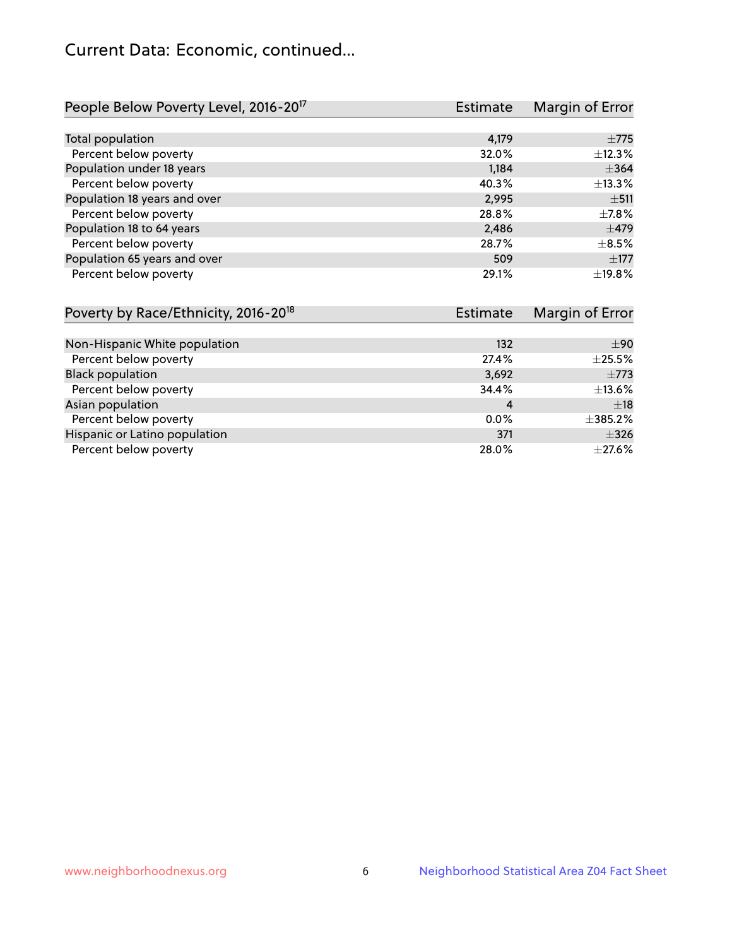# Current Data: Economic, continued...

| People Below Poverty Level, 2016-20 <sup>17</sup> | <b>Estimate</b> | Margin of Error |
|---------------------------------------------------|-----------------|-----------------|
|                                                   |                 |                 |
| Total population                                  | 4,179           | $\pm 775$       |
| Percent below poverty                             | 32.0%           | ±12.3%          |
| Population under 18 years                         | 1.184           | $\pm$ 364       |
| Percent below poverty                             | 40.3%           | ±13.3%          |
| Population 18 years and over                      | 2,995           | ±511            |
| Percent below poverty                             | 28.8%           | $\pm$ 7.8%      |
| Population 18 to 64 years                         | 2,486           | $\pm$ 479       |
| Percent below poverty                             | 28.7%           | $\pm$ 8.5%      |
| Population 65 years and over                      | 509             | $\pm$ 177       |
| Percent below poverty                             | 29.1%           | ±19.8%          |

| Poverty by Race/Ethnicity, 2016-20 <sup>18</sup> | <b>Estimate</b> |              |
|--------------------------------------------------|-----------------|--------------|
|                                                  |                 |              |
| Non-Hispanic White population                    | 132             | ±90          |
| Percent below poverty                            | 27.4%           | $\pm 25.5\%$ |
| <b>Black population</b>                          | 3,692           | $\pm 773$    |
| Percent below poverty                            | 34.4%           | $\pm$ 13.6%  |
| Asian population                                 | 4               | $\pm$ 18     |
| Percent below poverty                            | $0.0\%$         | $\pm$ 385.2% |
| Hispanic or Latino population                    | 371             | $\pm$ 326    |
| Percent below poverty                            | 28.0%           | $\pm$ 27.6%  |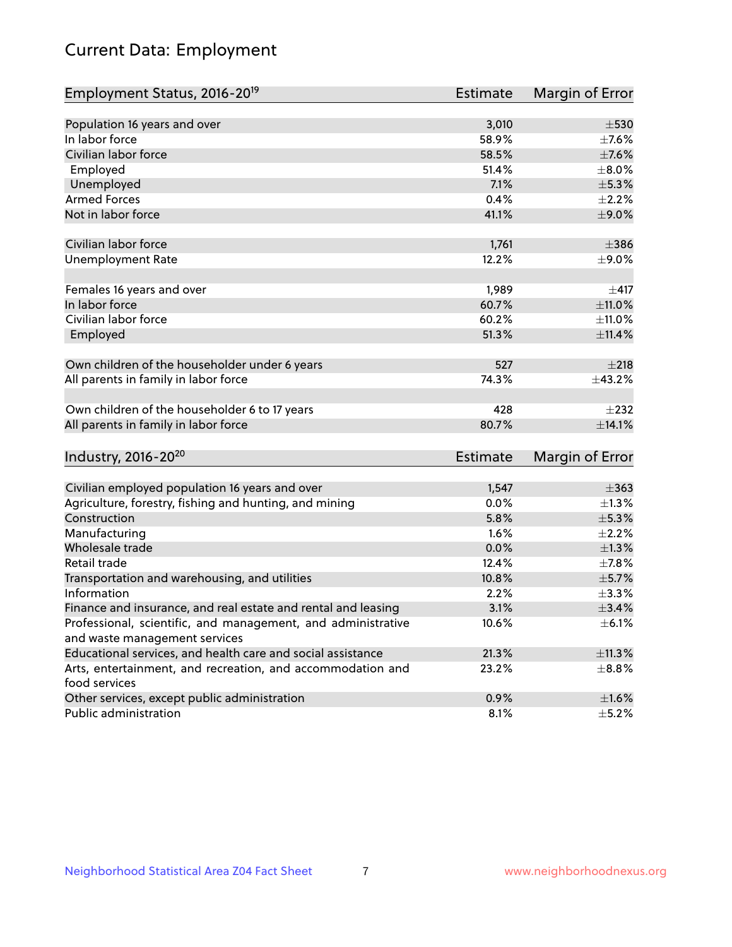# Current Data: Employment

| Employment Status, 2016-20 <sup>19</sup>                                    | <b>Estimate</b> | Margin of Error |
|-----------------------------------------------------------------------------|-----------------|-----------------|
|                                                                             |                 |                 |
| Population 16 years and over                                                | 3,010           | $\pm$ 530       |
| In labor force                                                              | 58.9%           | $\pm$ 7.6%      |
| Civilian labor force                                                        | 58.5%           | $\pm$ 7.6%      |
| Employed                                                                    | 51.4%           | $\pm 8.0\%$     |
| Unemployed                                                                  | 7.1%            | $\pm$ 5.3%      |
| <b>Armed Forces</b>                                                         | 0.4%            | $\pm 2.2\%$     |
| Not in labor force                                                          | 41.1%           | $\pm$ 9.0%      |
| Civilian labor force                                                        | 1,761           | $\pm$ 386       |
| <b>Unemployment Rate</b>                                                    | 12.2%           | $\pm$ 9.0%      |
| Females 16 years and over                                                   | 1,989           | $\pm$ 417       |
| In labor force                                                              | 60.7%           | ±11.0%          |
| Civilian labor force                                                        | 60.2%           | ±11.0%          |
| Employed                                                                    | 51.3%           | $\pm$ 11.4%     |
| Own children of the householder under 6 years                               | 527             | ±218            |
| All parents in family in labor force                                        | 74.3%           | ±43.2%          |
| Own children of the householder 6 to 17 years                               | 428             | $\pm 232$       |
| All parents in family in labor force                                        | 80.7%           | ±14.1%          |
| Industry, 2016-20 <sup>20</sup>                                             | <b>Estimate</b> | Margin of Error |
|                                                                             |                 |                 |
| Civilian employed population 16 years and over                              | 1,547           | $\pm$ 363       |
| Agriculture, forestry, fishing and hunting, and mining                      | 0.0%            | $\pm$ 1.3%      |
| Construction                                                                | 5.8%            | ±5.3%           |
| Manufacturing                                                               | 1.6%            | $\pm 2.2\%$     |
| Wholesale trade                                                             | 0.0%            | $\pm 1.3\%$     |
| Retail trade                                                                | 12.4%           | $\pm$ 7.8%      |
| Transportation and warehousing, and utilities                               | 10.8%           | $\pm$ 5.7%      |
| Information                                                                 | 2.2%            | $\pm$ 3.3%      |
| Finance and insurance, and real estate and rental and leasing               | 3.1%            | $\pm$ 3.4%      |
| Professional, scientific, and management, and administrative                | 10.6%           | $\pm$ 6.1%      |
| and waste management services                                               |                 |                 |
| Educational services, and health care and social assistance                 | 21.3%           | ±11.3%          |
| Arts, entertainment, and recreation, and accommodation and<br>food services | 23.2%           | $\pm$ 8.8%      |
| Other services, except public administration                                | 0.9%            | $\pm 1.6\%$     |
| Public administration                                                       | 8.1%            | $\pm$ 5.2%      |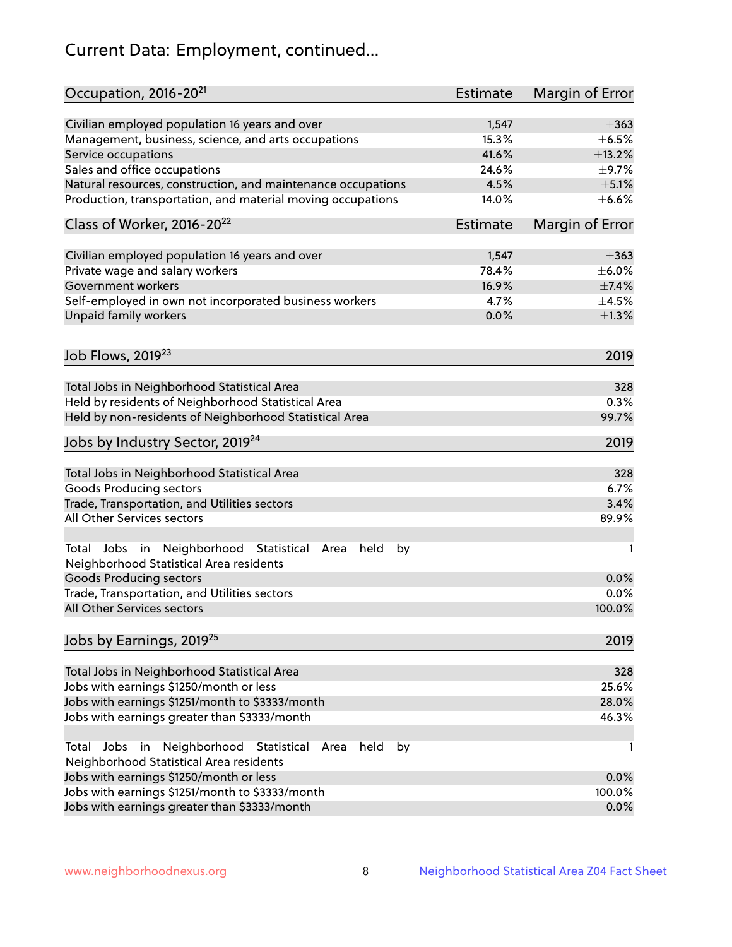# Current Data: Employment, continued...

| Occupation, 2016-20 <sup>21</sup>                                                                       | Estimate | Margin of Error |
|---------------------------------------------------------------------------------------------------------|----------|-----------------|
| Civilian employed population 16 years and over                                                          | 1,547    | $\pm$ 363       |
| Management, business, science, and arts occupations                                                     | 15.3%    | $\pm$ 6.5%      |
| Service occupations                                                                                     | 41.6%    | ±13.2%          |
| Sales and office occupations                                                                            | 24.6%    | $\pm$ 9.7%      |
| Natural resources, construction, and maintenance occupations                                            | 4.5%     | $\pm$ 5.1%      |
| Production, transportation, and material moving occupations                                             | 14.0%    | $\pm$ 6.6%      |
| Class of Worker, 2016-20 <sup>22</sup>                                                                  | Estimate | Margin of Error |
| Civilian employed population 16 years and over                                                          | 1,547    | $\pm$ 363       |
| Private wage and salary workers                                                                         | 78.4%    | $\pm$ 6.0%      |
| Government workers                                                                                      | 16.9%    | $\pm$ 7.4%      |
| Self-employed in own not incorporated business workers                                                  | 4.7%     | $\pm$ 4.5%      |
| Unpaid family workers                                                                                   | 0.0%     | $\pm 1.3\%$     |
|                                                                                                         |          |                 |
| Job Flows, 2019 <sup>23</sup>                                                                           |          | 2019            |
| Total Jobs in Neighborhood Statistical Area                                                             |          | 328             |
| Held by residents of Neighborhood Statistical Area                                                      |          | 0.3%            |
| Held by non-residents of Neighborhood Statistical Area                                                  |          | 99.7%           |
| Jobs by Industry Sector, 2019 <sup>24</sup>                                                             |          | 2019            |
| Total Jobs in Neighborhood Statistical Area                                                             |          | 328             |
| <b>Goods Producing sectors</b>                                                                          |          | 6.7%            |
| Trade, Transportation, and Utilities sectors                                                            |          | 3.4%            |
| All Other Services sectors                                                                              |          | 89.9%           |
| Total Jobs in Neighborhood Statistical<br>held<br>by<br>Area<br>Neighborhood Statistical Area residents |          | 1               |
| <b>Goods Producing sectors</b>                                                                          |          | 0.0%            |
| Trade, Transportation, and Utilities sectors                                                            |          | 0.0%            |
| All Other Services sectors                                                                              |          | 100.0%          |
| Jobs by Earnings, 2019 <sup>25</sup>                                                                    |          | 2019            |
| Total Jobs in Neighborhood Statistical Area                                                             |          | 328             |
| Jobs with earnings \$1250/month or less                                                                 |          | 25.6%           |
| Jobs with earnings \$1251/month to \$3333/month                                                         |          | 28.0%           |
| Jobs with earnings greater than \$3333/month                                                            |          | 46.3%           |
| Neighborhood Statistical<br>Jobs<br>in<br>held<br>by<br>Total<br>Area                                   |          | 1               |
| Neighborhood Statistical Area residents                                                                 |          |                 |
| Jobs with earnings \$1250/month or less                                                                 |          | 0.0%            |
| Jobs with earnings \$1251/month to \$3333/month                                                         |          | 100.0%          |
| Jobs with earnings greater than \$3333/month                                                            |          | 0.0%            |
|                                                                                                         |          |                 |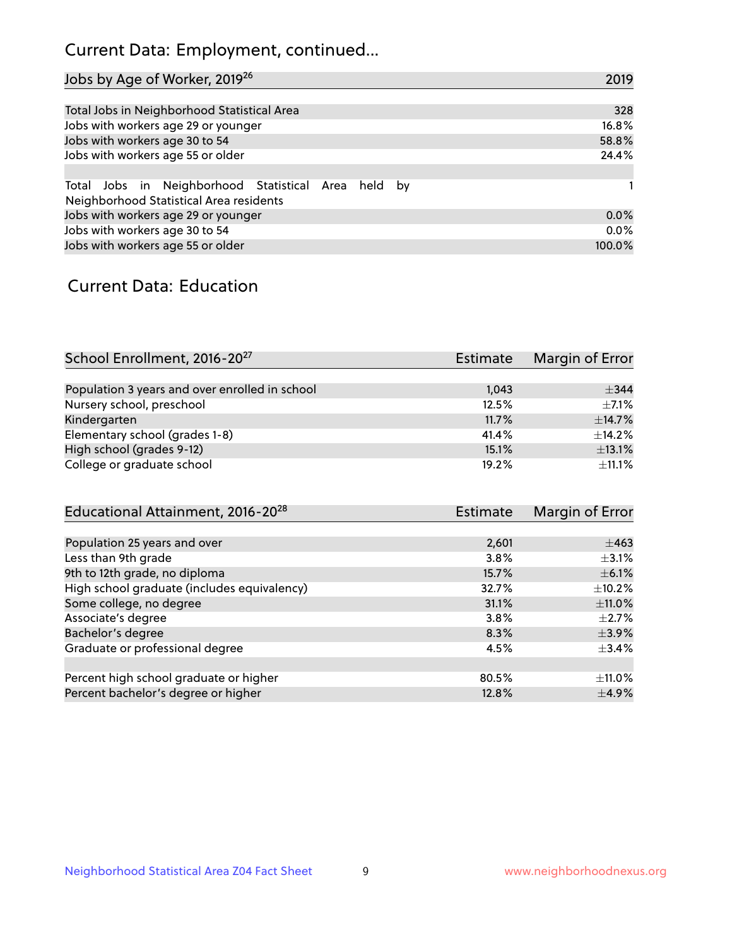# Current Data: Employment, continued...

| Jobs by Age of Worker, 2019 <sup>26</sup>                                                      | 2019   |
|------------------------------------------------------------------------------------------------|--------|
|                                                                                                |        |
| Total Jobs in Neighborhood Statistical Area                                                    | 328    |
| Jobs with workers age 29 or younger                                                            | 16.8%  |
| Jobs with workers age 30 to 54                                                                 | 58.8%  |
| Jobs with workers age 55 or older                                                              | 24.4%  |
|                                                                                                |        |
| Total Jobs in Neighborhood Statistical Area held by<br>Neighborhood Statistical Area residents |        |
| Jobs with workers age 29 or younger                                                            | 0.0%   |
| Jobs with workers age 30 to 54                                                                 | 0.0%   |
| Jobs with workers age 55 or older                                                              | 100.0% |

### Current Data: Education

| School Enrollment, 2016-20 <sup>27</sup>       | Estimate | Margin of Error |
|------------------------------------------------|----------|-----------------|
|                                                |          |                 |
| Population 3 years and over enrolled in school | 1,043    | $+344$          |
| Nursery school, preschool                      | 12.5%    | $+7.1%$         |
| Kindergarten                                   | 11.7%    | ±14.7%          |
| Elementary school (grades 1-8)                 | 41.4%    | ±14.2%          |
| High school (grades 9-12)                      | 15.1%    | ±13.1%          |
| College or graduate school                     | 19.2%    | $\pm$ 11.1%     |

| Educational Attainment, 2016-20 <sup>28</sup> | Estimate | Margin of Error |
|-----------------------------------------------|----------|-----------------|
|                                               |          |                 |
| Population 25 years and over                  | 2,601    | $\pm$ 463       |
| Less than 9th grade                           | 3.8%     | $\pm$ 3.1%      |
| 9th to 12th grade, no diploma                 | 15.7%    | $\pm$ 6.1%      |
| High school graduate (includes equivalency)   | 32.7%    | $\pm$ 10.2%     |
| Some college, no degree                       | 31.1%    | $\pm$ 11.0%     |
| Associate's degree                            | 3.8%     | $\pm 2.7\%$     |
| Bachelor's degree                             | 8.3%     | $\pm$ 3.9%      |
| Graduate or professional degree               | 4.5%     | $\pm$ 3.4%      |
|                                               |          |                 |
| Percent high school graduate or higher        | 80.5%    | $\pm$ 11.0%     |
| Percent bachelor's degree or higher           | 12.8%    | $\pm$ 4.9%      |
|                                               |          |                 |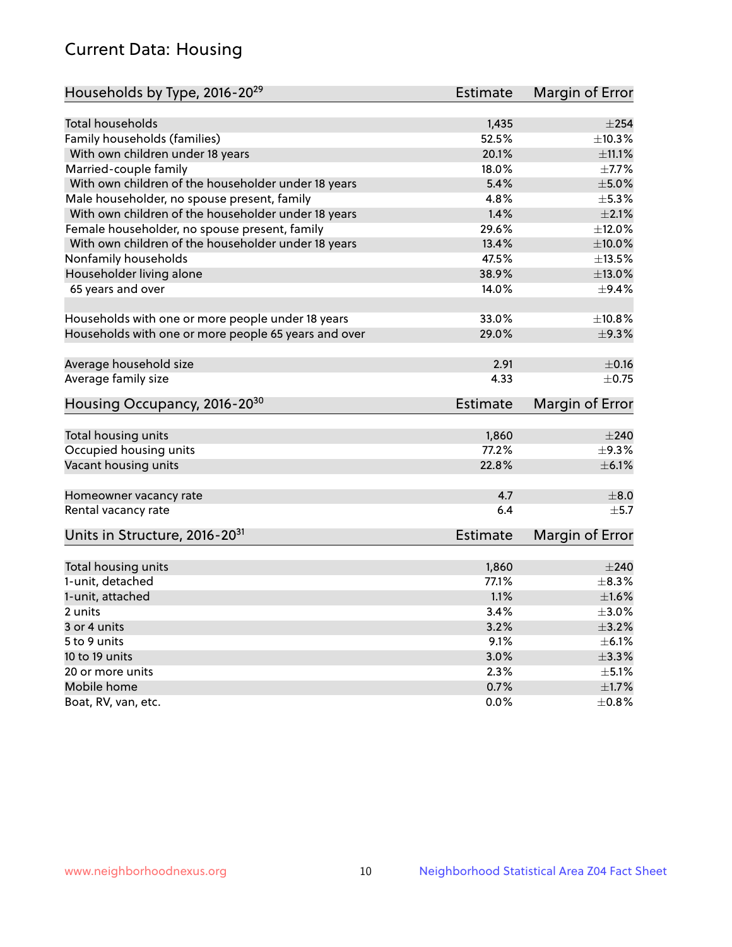# Current Data: Housing

| Households by Type, 2016-20 <sup>29</sup>            | <b>Estimate</b> | Margin of Error |
|------------------------------------------------------|-----------------|-----------------|
|                                                      |                 |                 |
| Total households                                     | 1,435           | $\pm 254$       |
| Family households (families)                         | 52.5%           | ±10.3%          |
| With own children under 18 years                     | 20.1%           | $\pm$ 11.1%     |
| Married-couple family                                | 18.0%           | $\pm$ 7.7%      |
| With own children of the householder under 18 years  | 5.4%            | $\pm$ 5.0%      |
| Male householder, no spouse present, family          | 4.8%            | $\pm$ 5.3%      |
| With own children of the householder under 18 years  | 1.4%            | $\pm 2.1\%$     |
| Female householder, no spouse present, family        | 29.6%           | ±12.0%          |
| With own children of the householder under 18 years  | 13.4%           | $\pm 10.0\%$    |
| Nonfamily households                                 | 47.5%           | ±13.5%          |
| Householder living alone                             | 38.9%           | ±13.0%          |
| 65 years and over                                    | 14.0%           | $\pm$ 9.4%      |
|                                                      |                 |                 |
| Households with one or more people under 18 years    | 33.0%           | ±10.8%          |
| Households with one or more people 65 years and over | 29.0%           | ±9.3%           |
| Average household size                               | 2.91            | $\pm$ 0.16      |
| Average family size                                  | 4.33            | $\pm$ 0.75      |
|                                                      |                 |                 |
| Housing Occupancy, 2016-20 <sup>30</sup>             | <b>Estimate</b> | Margin of Error |
| Total housing units                                  | 1,860           | $\pm 240$       |
| Occupied housing units                               | 77.2%           | $\pm$ 9.3%      |
| Vacant housing units                                 | 22.8%           | $\pm$ 6.1%      |
|                                                      |                 |                 |
| Homeowner vacancy rate                               | 4.7             | $\pm 8.0$       |
| Rental vacancy rate                                  | 6.4             | $\pm$ 5.7       |
| Units in Structure, 2016-20 <sup>31</sup>            | Estimate        | Margin of Error |
|                                                      |                 |                 |
| Total housing units                                  | 1,860           | $\pm 240$       |
| 1-unit, detached                                     | 77.1%           | $\pm$ 8.3%      |
| 1-unit, attached                                     | 1.1%            | $\pm1.6\%$      |
| 2 units                                              | 3.4%            | $\pm 3.0\%$     |
| 3 or 4 units                                         | 3.2%            | $\pm$ 3.2%      |
| 5 to 9 units                                         | 9.1%            | $\pm$ 6.1%      |
| 10 to 19 units                                       | 3.0%            | ±3.3%           |
| 20 or more units                                     | 2.3%            | $\pm$ 5.1%      |
| Mobile home                                          | 0.7%            | $\pm 1.7\%$     |
| Boat, RV, van, etc.                                  | $0.0\%$         | $\pm 0.8\%$     |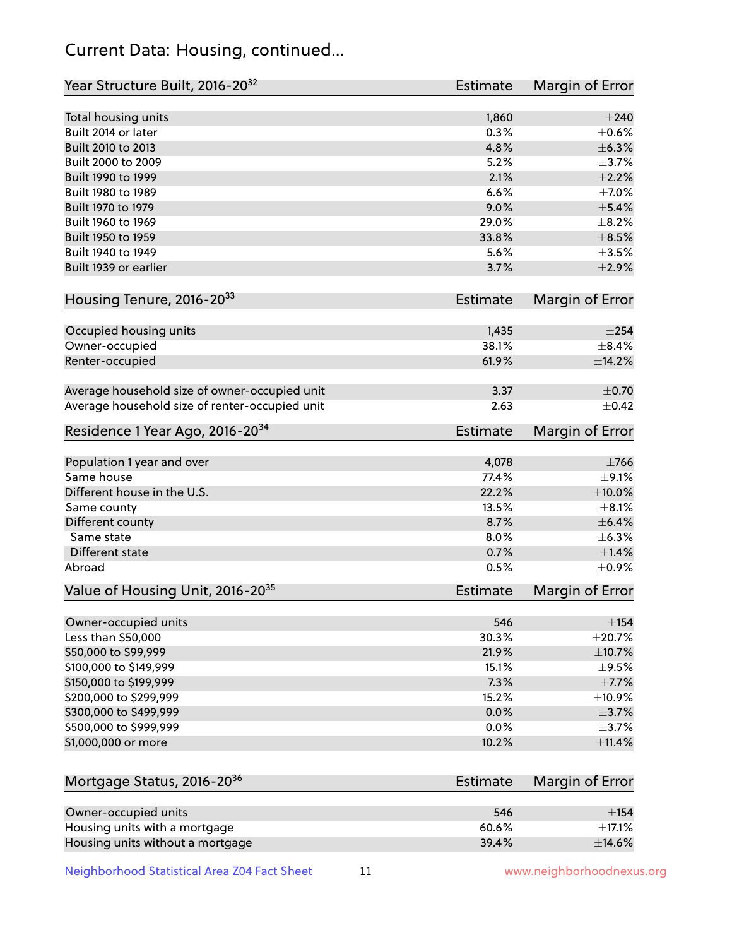# Current Data: Housing, continued...

| Year Structure Built, 2016-20 <sup>32</sup>    | <b>Estimate</b> | Margin of Error |
|------------------------------------------------|-----------------|-----------------|
| Total housing units                            | 1,860           | $\pm 240$       |
| Built 2014 or later                            | 0.3%            | $\pm$ 0.6%      |
| Built 2010 to 2013                             | 4.8%            | ±6.3%           |
| Built 2000 to 2009                             | 5.2%            | $\pm$ 3.7%      |
| Built 1990 to 1999                             | 2.1%            | $\pm 2.2\%$     |
| Built 1980 to 1989                             | 6.6%            | $\pm$ 7.0%      |
| Built 1970 to 1979                             | 9.0%            | $\pm$ 5.4%      |
| Built 1960 to 1969                             | 29.0%           | $\pm$ 8.2%      |
| Built 1950 to 1959                             | 33.8%           | $\pm$ 8.5%      |
| Built 1940 to 1949                             | 5.6%            | $\pm 3.5\%$     |
| Built 1939 or earlier                          | 3.7%            | $\pm 2.9\%$     |
|                                                |                 |                 |
| Housing Tenure, 2016-2033                      | <b>Estimate</b> | Margin of Error |
| Occupied housing units                         | 1,435           | $\pm 254$       |
| Owner-occupied                                 | 38.1%           | $\pm$ 8.4%      |
| Renter-occupied                                | 61.9%           | ±14.2%          |
|                                                |                 |                 |
| Average household size of owner-occupied unit  | 3.37            | $\pm$ 0.70      |
| Average household size of renter-occupied unit | 2.63            | $\pm$ 0.42      |
| Residence 1 Year Ago, 2016-20 <sup>34</sup>    | <b>Estimate</b> | Margin of Error |
|                                                |                 |                 |
| Population 1 year and over                     | 4,078           | $\pm 766$       |
| Same house                                     | 77.4%           | $\pm$ 9.1%      |
| Different house in the U.S.                    | 22.2%           | $\pm 10.0\%$    |
| Same county                                    | 13.5%           | $\pm$ 8.1%      |
| Different county                               | 8.7%            | $\pm$ 6.4%      |
| Same state                                     | 8.0%            | ±6.3%           |
| <b>Different state</b>                         | 0.7%            | $\pm1.4\%$      |
| Abroad                                         | 0.5%            | $\pm$ 0.9%      |
| Value of Housing Unit, 2016-20 <sup>35</sup>   | <b>Estimate</b> | Margin of Error |
|                                                |                 |                 |
| Owner-occupied units                           | 546             | $\pm$ 154       |
| Less than \$50,000                             | 30.3%           | ±20.7%          |
| \$50,000 to \$99,999                           | 21.9%           | $\pm$ 10.7%     |
| \$100,000 to \$149,999                         | 15.1%           | $\pm$ 9.5%      |
| \$150,000 to \$199,999                         | 7.3%            | $\pm$ 7.7%      |
| \$200,000 to \$299,999                         | 15.2%           | ±10.9%          |
| \$300,000 to \$499,999                         | 0.0%            | $\pm$ 3.7%      |
| \$500,000 to \$999,999                         | 0.0%            | $\pm$ 3.7%      |
| \$1,000,000 or more                            | 10.2%           | ±11.4%          |
| Mortgage Status, 2016-20 <sup>36</sup>         | <b>Estimate</b> | Margin of Error |
|                                                |                 |                 |
| Owner-occupied units                           | 546             | $\pm$ 154       |
| Housing units with a mortgage                  | 60.6%           | ±17.1%          |
| Housing units without a mortgage               | 39.4%           | ±14.6%          |

Neighborhood Statistical Area Z04 Fact Sheet 11 11 www.neighborhoodnexus.org

Housing units without a mortgage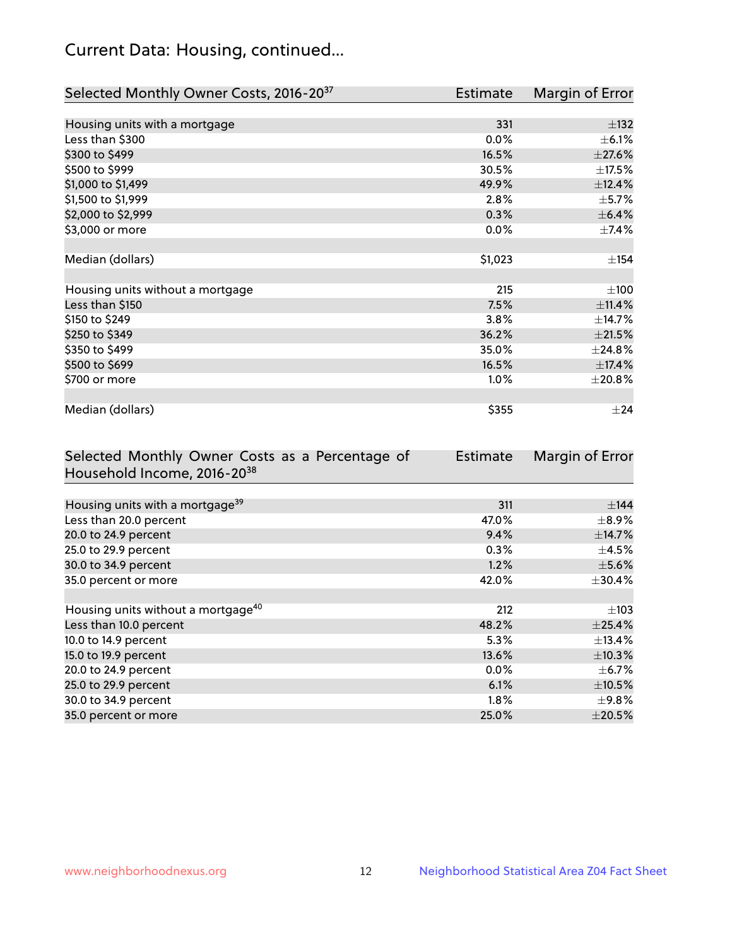# Current Data: Housing, continued...

| Selected Monthly Owner Costs, 2016-20 <sup>37</sup> | <b>Estimate</b> | Margin of Error |
|-----------------------------------------------------|-----------------|-----------------|
|                                                     |                 |                 |
| Housing units with a mortgage                       | 331             | $\pm$ 132       |
| Less than \$300                                     | 0.0%            | $\pm$ 6.1%      |
| \$300 to \$499                                      | 16.5%           | $\pm 27.6\%$    |
| \$500 to \$999                                      | 30.5%           | $\pm$ 17.5%     |
| \$1,000 to \$1,499                                  | 49.9%           | ±12.4%          |
| \$1,500 to \$1,999                                  | 2.8%            | $\pm$ 5.7%      |
| \$2,000 to \$2,999                                  | 0.3%            | $\pm$ 6.4%      |
| \$3,000 or more                                     | 0.0%            | ±7.4%           |
|                                                     |                 |                 |
| Median (dollars)                                    | \$1,023         | ±154            |
|                                                     |                 |                 |
| Housing units without a mortgage                    | 215             | ±100            |
| Less than \$150                                     | 7.5%            | ±11.4%          |
| \$150 to \$249                                      | 3.8%            | ±14.7%          |
| \$250 to \$349                                      | 36.2%           | $\pm 21.5\%$    |
| \$350 to \$499                                      | 35.0%           | ±24.8%          |
| \$500 to \$699                                      | 16.5%           | ±17.4%          |
| \$700 or more                                       | 1.0%            | ±20.8%          |
|                                                     |                 |                 |
| Median (dollars)                                    | \$355           | $\pm 24$        |

| Selected Monthly Owner Costs as a Percentage of | <b>Estimate</b> | Margin of Error |
|-------------------------------------------------|-----------------|-----------------|
| Household Income, 2016-20 <sup>38</sup>         |                 |                 |
|                                                 |                 |                 |
| Housing units with a mortgage <sup>39</sup>     | 311             | $\pm$ 144       |
| Less than 20.0 percent                          | 47.0%           | $\pm$ 8.9%      |
| 20.0 to 24.9 percent                            | 9.4%            | $\pm$ 14.7%     |
| 25.0 to 29.9 percent                            | 0.3%            | $\pm$ 4.5%      |
| 30.0 to 34.9 percent                            | 1.2%            | $\pm$ 5.6%      |
| 35.0 percent or more                            | 42.0%           | $\pm$ 30.4%     |
|                                                 |                 |                 |
| Housing units without a mortgage <sup>40</sup>  | 212             | $\pm 103$       |
| Less than 10.0 percent                          | 48.2%           | $\pm$ 25.4%     |
| 10.0 to 14.9 percent                            | 5.3%            | $\pm$ 13.4%     |
| 15.0 to 19.9 percent                            | 13.6%           | $\pm$ 10.3%     |
| 20.0 to 24.9 percent                            | $0.0\%$         | $\pm$ 6.7%      |
| 25.0 to 29.9 percent                            | 6.1%            | $\pm$ 10.5%     |
| 30.0 to 34.9 percent                            | $1.8\%$         | $\pm$ 9.8%      |
| 35.0 percent or more                            | 25.0%           | $\pm 20.5\%$    |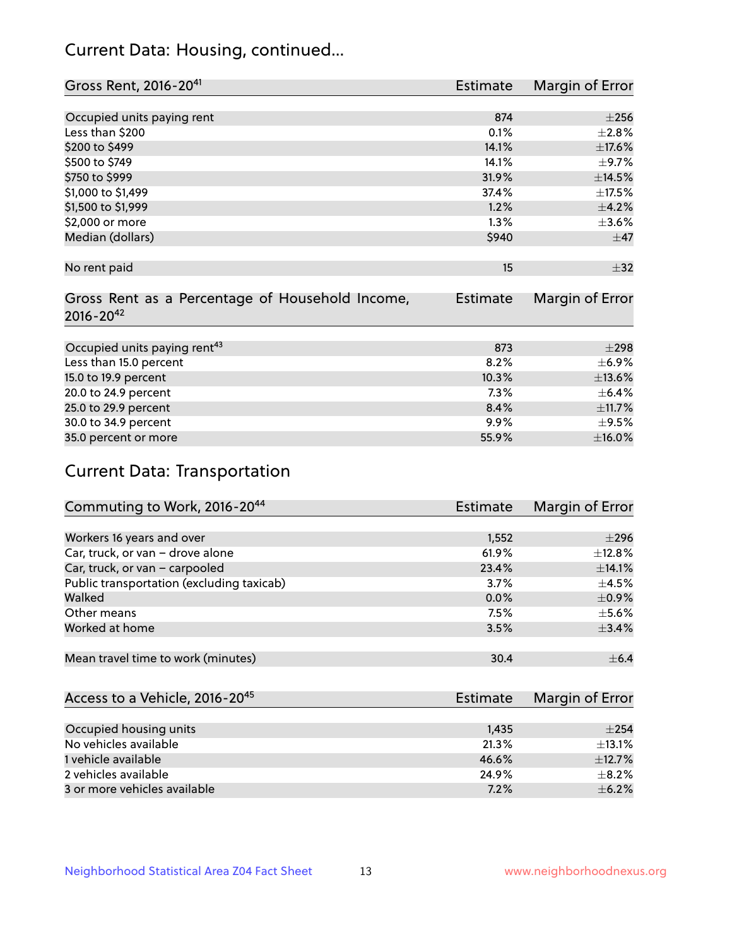# Current Data: Housing, continued...

| Gross Rent, 2016-20 <sup>41</sup>               | <b>Estimate</b> | Margin of Error |
|-------------------------------------------------|-----------------|-----------------|
|                                                 |                 |                 |
| Occupied units paying rent                      | 874             | $\pm 256$       |
| Less than \$200                                 | 0.1%            | ±2.8%           |
| \$200 to \$499                                  | 14.1%           | ±17.6%          |
| \$500 to \$749                                  | 14.1%           | $\pm$ 9.7%      |
| \$750 to \$999                                  | 31.9%           | ±14.5%          |
| \$1,000 to \$1,499                              | 37.4%           | $\pm$ 17.5%     |
| \$1,500 to \$1,999                              | 1.2%            | $\pm$ 4.2%      |
| \$2,000 or more                                 | 1.3%            | $\pm 3.6\%$     |
| Median (dollars)                                | \$940           | $\pm$ 47        |
|                                                 |                 |                 |
| No rent paid                                    | 15              | $\pm$ 32        |
|                                                 |                 |                 |
| Gross Rent as a Percentage of Household Income, | <b>Estimate</b> | Margin of Error |
| $2016 - 20^{42}$                                |                 |                 |
|                                                 |                 |                 |
| Occupied units paying rent <sup>43</sup>        | 873             | $\pm 298$       |
| Less than 15.0 percent                          | 8.2%            | $\pm$ 6.9%      |
| 15.0 to 19.9 percent                            | 10.3%           | $\pm$ 13.6%     |
| 20.0 to 24.9 percent                            | 7.3%            | $\pm$ 6.4%      |
| 25.0 to 29.9 percent                            | 8.4%            | ±11.7%          |
| 30.0 to 34.9 percent                            | $9.9\%$         | $\pm$ 9.5%      |
| 35.0 percent or more                            | 55.9%           | $\pm$ 16.0%     |

# Current Data: Transportation

| Commuting to Work, 2016-20 <sup>44</sup>  | <b>Estimate</b> | Margin of Error |
|-------------------------------------------|-----------------|-----------------|
|                                           |                 |                 |
| Workers 16 years and over                 | 1,552           | $\pm 296$       |
| Car, truck, or van - drove alone          | 61.9%           | $\pm$ 12.8%     |
| Car, truck, or van - carpooled            | 23.4%           | ±14.1%          |
| Public transportation (excluding taxicab) | 3.7%            | $\pm$ 4.5%      |
| Walked                                    | 0.0%            | $\pm$ 0.9%      |
| Other means                               | 7.5%            | $\pm$ 5.6%      |
| Worked at home                            | 3.5%            | ±3.4%           |
|                                           |                 |                 |
| Mean travel time to work (minutes)        | 30.4            | $\pm$ 6.4       |

| Access to a Vehicle, 2016-20 <sup>45</sup> | <b>Estimate</b> | Margin of Error |
|--------------------------------------------|-----------------|-----------------|
|                                            |                 |                 |
| Occupied housing units                     | 1,435           | $\pm 254$       |
| No vehicles available                      | 21.3%           | $\pm$ 13.1%     |
| 1 vehicle available                        | 46.6%           | ±12.7%          |
| 2 vehicles available                       | 24.9%           | $+8.2%$         |
| 3 or more vehicles available               | 7.2%            | $+6.2%$         |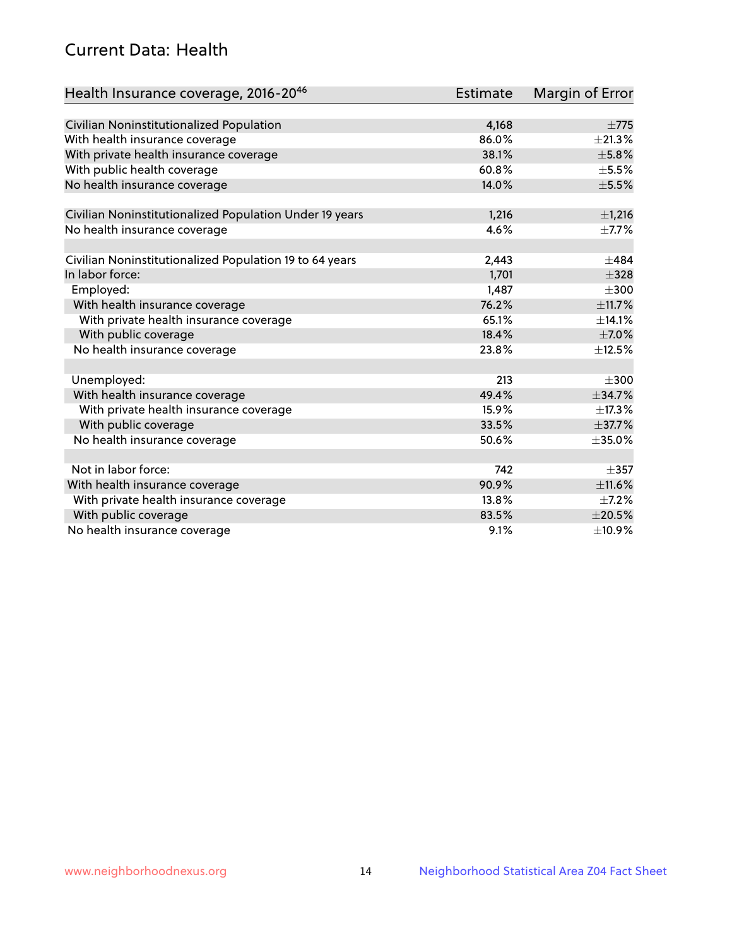# Current Data: Health

| Health Insurance coverage, 2016-2046                    | <b>Estimate</b> | Margin of Error |
|---------------------------------------------------------|-----------------|-----------------|
|                                                         |                 |                 |
| Civilian Noninstitutionalized Population                | 4,168           | $\pm 775$       |
| With health insurance coverage                          | 86.0%           | $\pm 21.3\%$    |
| With private health insurance coverage                  | 38.1%           | ±5.8%           |
| With public health coverage                             | 60.8%           | $\pm$ 5.5%      |
| No health insurance coverage                            | 14.0%           | $\pm$ 5.5%      |
| Civilian Noninstitutionalized Population Under 19 years | 1,216           | ±1,216          |
| No health insurance coverage                            | 4.6%            | $\pm$ 7.7%      |
|                                                         |                 |                 |
| Civilian Noninstitutionalized Population 19 to 64 years | 2,443           | $\pm$ 484       |
| In labor force:                                         | 1,701           | $\pm$ 328       |
| Employed:                                               | 1,487           | $\pm 300$       |
| With health insurance coverage                          | 76.2%           | ±11.7%          |
| With private health insurance coverage                  | 65.1%           | ±14.1%          |
| With public coverage                                    | 18.4%           | $\pm$ 7.0%      |
| No health insurance coverage                            | 23.8%           | ±12.5%          |
|                                                         |                 |                 |
| Unemployed:                                             | 213             | $\pm 300$       |
| With health insurance coverage                          | 49.4%           | ±34.7%          |
| With private health insurance coverage                  | 15.9%           | ±17.3%          |
| With public coverage                                    | 33.5%           | ±37.7%          |
| No health insurance coverage                            | 50.6%           | $\pm$ 35.0%     |
|                                                         |                 |                 |
| Not in labor force:                                     | 742             | $\pm$ 357       |
| With health insurance coverage                          | 90.9%           | ±11.6%          |
| With private health insurance coverage                  | 13.8%           | $\pm$ 7.2%      |
| With public coverage                                    | 83.5%           | $\pm 20.5\%$    |
| No health insurance coverage                            | 9.1%            | ±10.9%          |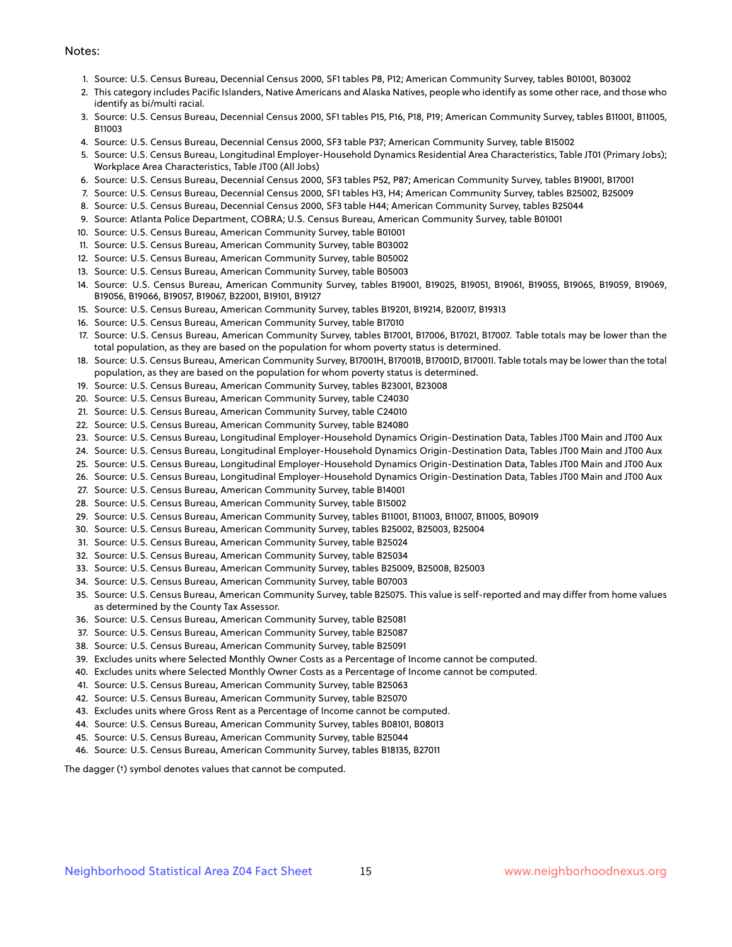#### Notes:

- 1. Source: U.S. Census Bureau, Decennial Census 2000, SF1 tables P8, P12; American Community Survey, tables B01001, B03002
- 2. This category includes Pacific Islanders, Native Americans and Alaska Natives, people who identify as some other race, and those who identify as bi/multi racial.
- 3. Source: U.S. Census Bureau, Decennial Census 2000, SF1 tables P15, P16, P18, P19; American Community Survey, tables B11001, B11005, B11003
- 4. Source: U.S. Census Bureau, Decennial Census 2000, SF3 table P37; American Community Survey, table B15002
- 5. Source: U.S. Census Bureau, Longitudinal Employer-Household Dynamics Residential Area Characteristics, Table JT01 (Primary Jobs); Workplace Area Characteristics, Table JT00 (All Jobs)
- 6. Source: U.S. Census Bureau, Decennial Census 2000, SF3 tables P52, P87; American Community Survey, tables B19001, B17001
- 7. Source: U.S. Census Bureau, Decennial Census 2000, SF1 tables H3, H4; American Community Survey, tables B25002, B25009
- 8. Source: U.S. Census Bureau, Decennial Census 2000, SF3 table H44; American Community Survey, tables B25044
- 9. Source: Atlanta Police Department, COBRA; U.S. Census Bureau, American Community Survey, table B01001
- 10. Source: U.S. Census Bureau, American Community Survey, table B01001
- 11. Source: U.S. Census Bureau, American Community Survey, table B03002
- 12. Source: U.S. Census Bureau, American Community Survey, table B05002
- 13. Source: U.S. Census Bureau, American Community Survey, table B05003
- 14. Source: U.S. Census Bureau, American Community Survey, tables B19001, B19025, B19051, B19061, B19055, B19065, B19059, B19069, B19056, B19066, B19057, B19067, B22001, B19101, B19127
- 15. Source: U.S. Census Bureau, American Community Survey, tables B19201, B19214, B20017, B19313
- 16. Source: U.S. Census Bureau, American Community Survey, table B17010
- 17. Source: U.S. Census Bureau, American Community Survey, tables B17001, B17006, B17021, B17007. Table totals may be lower than the total population, as they are based on the population for whom poverty status is determined.
- 18. Source: U.S. Census Bureau, American Community Survey, B17001H, B17001B, B17001D, B17001I. Table totals may be lower than the total population, as they are based on the population for whom poverty status is determined.
- 19. Source: U.S. Census Bureau, American Community Survey, tables B23001, B23008
- 20. Source: U.S. Census Bureau, American Community Survey, table C24030
- 21. Source: U.S. Census Bureau, American Community Survey, table C24010
- 22. Source: U.S. Census Bureau, American Community Survey, table B24080
- 23. Source: U.S. Census Bureau, Longitudinal Employer-Household Dynamics Origin-Destination Data, Tables JT00 Main and JT00 Aux
- 24. Source: U.S. Census Bureau, Longitudinal Employer-Household Dynamics Origin-Destination Data, Tables JT00 Main and JT00 Aux
- 25. Source: U.S. Census Bureau, Longitudinal Employer-Household Dynamics Origin-Destination Data, Tables JT00 Main and JT00 Aux
- 26. Source: U.S. Census Bureau, Longitudinal Employer-Household Dynamics Origin-Destination Data, Tables JT00 Main and JT00 Aux
- 27. Source: U.S. Census Bureau, American Community Survey, table B14001
- 28. Source: U.S. Census Bureau, American Community Survey, table B15002
- 29. Source: U.S. Census Bureau, American Community Survey, tables B11001, B11003, B11007, B11005, B09019
- 30. Source: U.S. Census Bureau, American Community Survey, tables B25002, B25003, B25004
- 31. Source: U.S. Census Bureau, American Community Survey, table B25024
- 32. Source: U.S. Census Bureau, American Community Survey, table B25034
- 33. Source: U.S. Census Bureau, American Community Survey, tables B25009, B25008, B25003
- 34. Source: U.S. Census Bureau, American Community Survey, table B07003
- 35. Source: U.S. Census Bureau, American Community Survey, table B25075. This value is self-reported and may differ from home values as determined by the County Tax Assessor.
- 36. Source: U.S. Census Bureau, American Community Survey, table B25081
- 37. Source: U.S. Census Bureau, American Community Survey, table B25087
- 38. Source: U.S. Census Bureau, American Community Survey, table B25091
- 39. Excludes units where Selected Monthly Owner Costs as a Percentage of Income cannot be computed.
- 40. Excludes units where Selected Monthly Owner Costs as a Percentage of Income cannot be computed.
- 41. Source: U.S. Census Bureau, American Community Survey, table B25063
- 42. Source: U.S. Census Bureau, American Community Survey, table B25070
- 43. Excludes units where Gross Rent as a Percentage of Income cannot be computed.
- 44. Source: U.S. Census Bureau, American Community Survey, tables B08101, B08013
- 45. Source: U.S. Census Bureau, American Community Survey, table B25044
- 46. Source: U.S. Census Bureau, American Community Survey, tables B18135, B27011

The dagger (†) symbol denotes values that cannot be computed.